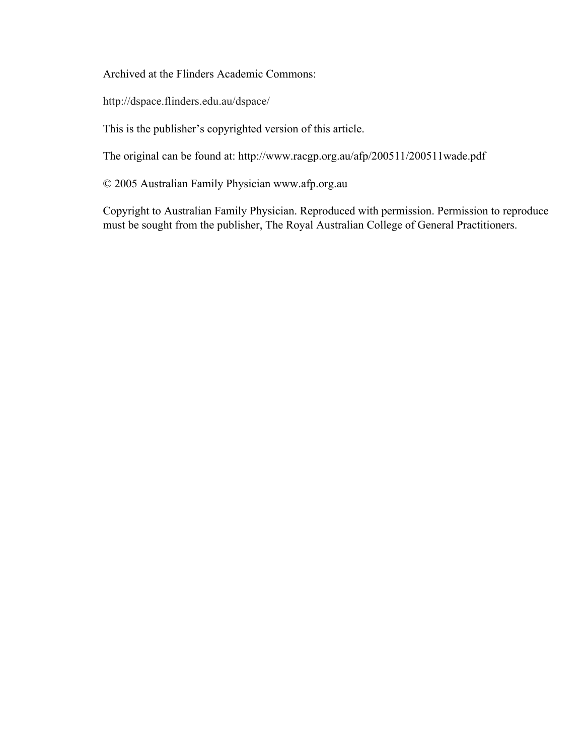Archived at the Flinders Academic Commons:

http://dspace.flinders.edu.au/dspace/

This is the publisher's copyrighted version of this article.

The original can be found at: http://www.racgp.org.au/afp/200511/200511wade.pdf

© 2005 Australian Family Physician www.afp.org.au

Copyright to Australian Family Physician. Reproduced with permission. Permission to reproduce must be sought from the publisher, The Royal Australian College of General Practitioners.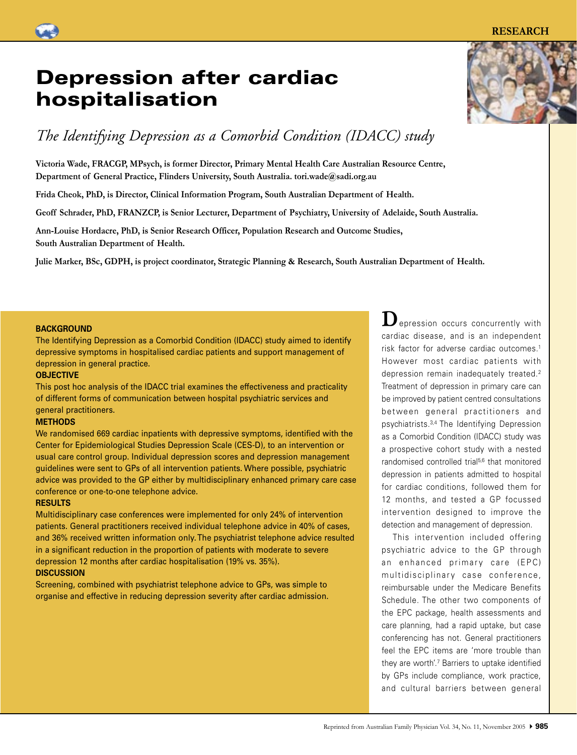The Identifying Depression as a Comorbid Condition (IDACC) study aimed to identify depressive symptoms in hospitalised cardiac patients and support management of depression in general practice.

#### **OBJECTIVE**

**BACKGROUND** 

This post hoc analysis of the IDACC trial examines the effectiveness and practicality of different forms of communication between hospital psychiatric services and general practitioners.

#### **METHODS**

We randomised 669 cardiac inpatients with depressive symptoms, identified with the Center for Epidemiological Studies Depression Scale (CES-D), to an intervention or usual care control group. Individual depression scores and depression management guidelines were sent to GPs of all intervention patients. Where possible, psychiatric advice was provided to the GP either by multidisciplinary enhanced primary care case conference or one-to-one telephone advice.

#### **RESULTS**

Multidisciplinary case conferences were implemented for only 24% of intervention patients. General practitioners received individual telephone advice in 40% of cases, and 36% received written information only. The psychiatrist telephone advice resulted in a significant reduction in the proportion of patients with moderate to severe depression 12 months after cardiac hospitalisation (19% vs. 35%). **DISCUSSION**

Screening, combined with psychiatrist telephone advice to GPs, was simple to organise and effective in reducing depression severity after cardiac admission.

**D**epression occurs concurrently with cardiac disease, and is an independent risk factor for adverse cardiac outcomes.1 However most cardiac patients with depression remain inadequately treated.<sup>2</sup> Treatment of depression in primary care can be improved by patient centred consultations bet ween general practitioners and psychiatrists.3,4 The Identifying Depression as a Comorbid Condition (IDACC) study was a prospective cohort study with a nested randomised controlled trial<sup>5,6</sup> that monitored depression in patients admitted to hospital for cardiac conditions, followed them for 12 months, and tested a GP focussed intervention designed to improve the detection and management of depression.

 This intervention included offering psychiatric advice to the GP through an enhanced primary care (EPC) multidisciplinary case conference, reimbursable under the Medicare Benefits Schedule. The other two components of the EPC package, health assessments and care planning, had a rapid uptake, but case conferencing has not. General practitioners feel the EPC items are 'more trouble than they are worth'.7 Barriers to uptake identified by GPs include compliance, work practice, and cultural barriers between general

# hospitalisation

# *The Identifying Depression as a Comorbid Condition (IDACC) study*

**Victoria Wade, FRACGP, MPsych, is former Director, Primary Mental Health Care Australian Resource Centre, Department of General Practice, Flinders University, South Australia. tori.wade@sadi.org.au**

**Frida Cheok, PhD, is Director, Clinical Information Program, South Australian Department of Health.** 

**Geoff Schrader, PhD, FRANZCP, is Senior Lecturer, Department of Psychiatry, University of Adelaide, South Australia.**

**Ann-Louise Hordacre, PhD, is Senior Research Officer, Population Research and Outcome Studies, South Australian Department of Health.**

**Julie Marker, BSc, GDPH, is project coordinator, Strategic Planning & Research, South Australian Department of Health.**

# Depression after cardiac

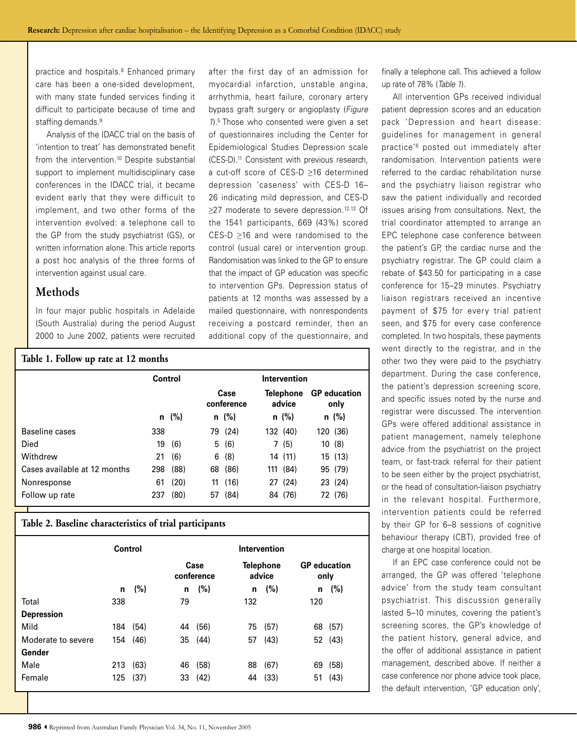practice and hospitals.8 Enhanced primary care has been a one-sided development, with many state funded services finding it difficult to participate because of time and staffing demands.<sup>9</sup>

 Analysis of the IDACC trial on the basis of 'intention to treat' has demonstrated benefit from the intervention.<sup>10</sup> Despite substantial support to implement multidisciplinary case conferences in the IDACC trial, it became evident early that they were difficult to implement, and two other forms of the intervention evolved: a telephone call to the GP from the study psychiatrist (GS), or written information alone. This article reports a post hoc analysis of the three forms of intervention against usual care.

## **Methods**

In four major public hospitals in Adelaide (South Australia) during the period August 2000 to June 2002, patients were recruited after the first day of an admission for myocardial infarction, unstable angina, arrhythmia, heart failure, coronary artery bypass graft surgery or angioplasty (Figure 1).5 Those who consented were given a set of questionnaires including the Center for Epidemiological Studies Depression scale (CES-D).11 Consistent with previous research, a cut-off score of CES-D ≥16 determined depression 'caseness' with CES-D 16– 26 indicating mild depression, and CES-D ≥27 moderate to severe depression.<sup>12,13</sup> Of the 1541 participants, 669 (43%) scored CES-D ≥16 and were randomised to the control (usual care) or intervention group. Randomisation was linked to the GP to ensure that the impact of GP education was specific to intervention GPs. Depression status of patients at 12 months was assessed by a mailed questionnaire, with nonrespondents receiving a postcard reminder, then an additional copy of the questionnaire, and

| Table 1. Follow up rate at 12 months |         |            |                    |            |                     |            |                             |          |  |  |
|--------------------------------------|---------|------------|--------------------|------------|---------------------|------------|-----------------------------|----------|--|--|
|                                      | Control |            | Intervention       |            |                     |            |                             |          |  |  |
|                                      |         |            | Case<br>conference |            | Telephone<br>advice |            | <b>GP</b> education<br>only |          |  |  |
|                                      |         | $n \ (\%)$ |                    | $n \ (\%)$ |                     | $n \ (\%)$ |                             | $n$ (%)  |  |  |
| Baseline cases                       | 338     |            |                    | 79 (24)    |                     | 132 (40)   |                             | 120 (36) |  |  |
| Died                                 | 19      | (6)        |                    | 5(6)       |                     | 7(5)       |                             | 10(8)    |  |  |
| Withdrew                             | 21      | (6)        |                    | 6(8)       |                     | 14 (11)    |                             | 15(13)   |  |  |
| Cases available at 12 months         | 298     | (88)       |                    | 68 (86)    |                     | 111 (84)   |                             | 95 (79)  |  |  |
| Nonresponse                          | 61      | (20)       | 11                 | (16)       |                     | 27 (24)    |                             | 23 (24)  |  |  |
| Follow up rate                       | 237     | (80)       | 57                 | (84)       |                     | 84 (76)    |                             | 72 (76)  |  |  |

#### **Table 2. Baseline characteristics of trial participants**

|                    | Control |      | Intervention       |      |                     |      |                             |      |
|--------------------|---------|------|--------------------|------|---------------------|------|-----------------------------|------|
|                    |         |      | Case<br>conference |      | Telephone<br>advice |      | <b>GP</b> education<br>only |      |
|                    | n       | (%)  | n                  | (%)  | n                   | (%)  | n                           | (%)  |
| Total              | 338     |      | 79                 |      | 132                 |      | 120                         |      |
| <b>Depression</b>  |         |      |                    |      |                     |      |                             |      |
| Mild               | 184     | (54) | 44                 | (56) | 75                  | (57) | 68                          | (57) |
| Moderate to severe | 154     | (46) | 35                 | (44) | 57                  | (43) | 52                          | (43) |
| Gender             |         |      |                    |      |                     |      |                             |      |
| Male               | 213     | (63) | 46                 | (58) | 88                  | (67) | 69                          | (58) |
| Female             | 125     | (37) | 33                 | (42) | 44                  | (33) | 51                          | (43) |
|                    |         |      |                    |      |                     |      |                             |      |

finally a telephone call. This achieved a follow up rate of 78% (Table 1).

 All intervention GPs received individual patient depression scores and an education pack 'Depression and heart disease: guidelines for management in general practice'6 posted out immediately after randomisation. Intervention patients were referred to the cardiac rehabilitation nurse and the psychiatry liaison registrar who saw the patient individually and recorded issues arising from consultations. Next, the trial coordinator attempted to arrange an EPC telephone case conference between the patient's GP, the cardiac nurse and the psychiatry registrar. The GP could claim a rebate of \$43.50 for participating in a case conference for 15–29 minutes. Psychiatry liaison registrars received an incentive payment of \$75 for every trial patient seen, and \$75 for every case conference completed. In two hospitals, these payments went directly to the registrar, and in the other two they were paid to the psychiatry department. During the case conference, the patient's depression screening score, and specific issues noted by the nurse and registrar were discussed. The intervention GPs were offered additional assistance in patient management, namely telephone advice from the psychiatrist on the project team, or fast-track referral for their patient to be seen either by the project psychiatrist, or the head of consultation-liaison psychiatry in the relevant hospital. Furthermore, intervention patients could be referred by their GP for 6–8 sessions of cognitive behaviour therapy (CBT), provided free of charge at one hospital location.

 If an EPC case conference could not be arranged, the GP was offered 'telephone advice' from the study team consultant psychiatrist. This discussion generally lasted 5–10 minutes, covering the patient's screening scores, the GP's knowledge of the patient history, general advice, and the offer of additional assistance in patient management, described above. If neither a case conference nor phone advice took place, the default intervention, 'GP education only',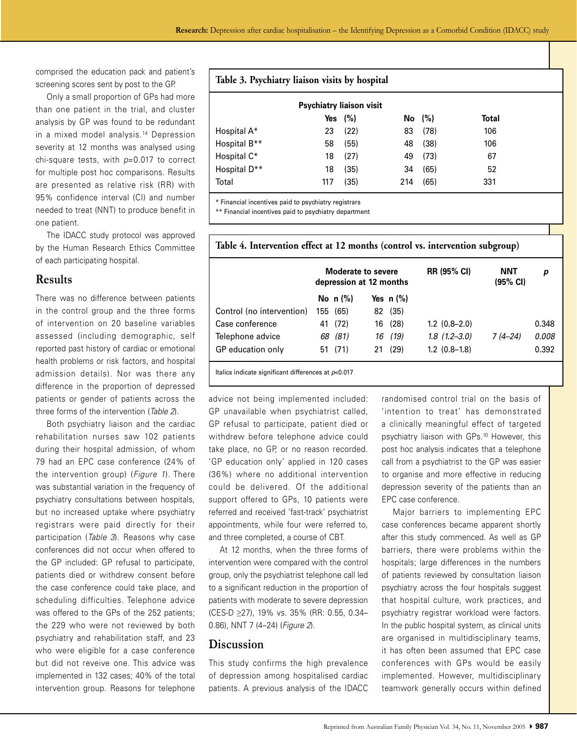comprised the education pack and patient's screening scores sent by post to the GP.

 Only a small proportion of GPs had more than one patient in the trial, and cluster analysis by GP was found to be redundant in a mixed model analysis.14 Depression severity at 12 months was analysed using chi-square tests, with  $p=0.017$  to correct for multiple post hoc comparisons. Results are presented as relative risk (RR) with 95% confidence interval (CI) and number needed to treat (NNT) to produce benefit in one patient.

 The IDACC study protocol was approved by the Human Research Ethics Committee of each participating hospital.

### **Results**

There was no difference between patients in the control group and the three forms of intervention on 20 baseline variables assessed (including demographic, self reported past history of cardiac or emotional health problems or risk factors, and hospital admission details). Nor was there any difference in the proportion of depressed patients or gender of patients across the three forms of the intervention (Table 2).

 Both psychiatry liaison and the cardiac rehabilitation nurses saw 102 patients during their hospital admission, of whom 79 had an EPC case conference (24% of the intervention group) (Figure 1). There was substantial variation in the frequency of psychiatry consultations between hospitals, but no increased uptake where psychiatry registrars were paid directly for their participation (Table 3). Reasons why case conferences did not occur when offered to the GP included: GP refusal to participate, patients died or withdrew consent before the case conference could take place, and scheduling difficulties. Telephone advice was offered to the GPs of the 252 patients; the 229 who were not reviewed by both psychiatry and rehabilitation staff, and 23 who were eligible for a case conference but did not reveive one. This advice was implemented in 132 cases; 40% of the total intervention group. Reasons for telephone

### **Table 3. Psychiatry liaison visits by hospital**

|              | <b>Psychiatry liaison visit</b> |            |     |      |       |
|--------------|---------------------------------|------------|-----|------|-------|
|              |                                 | Yes $(\%)$ | No. | (%)  | Total |
| Hospital A*  | 23                              | (22)       | 83  | (78) | 106   |
| Hospital B** | 58                              | (55)       | 48  | (38) | 106   |
| Hospital C*  | 18                              | (27)       | 49  | (73) | 67    |
| Hospital D** | 18                              | (35)       | 34  | (65) | 52    |
| Total        | 117                             | (35)       | 214 | (65) | 331   |

\* Financial incentives paid to psychiatry registrars

\*\* Financial incentives paid to psychiatry department

|                           | Moderate to severe<br>depression at 12 months |            |    |             | <b>RR (95% CI)</b>  | NNT<br>$(95% \text{ Cl})$ | р     |
|---------------------------|-----------------------------------------------|------------|----|-------------|---------------------|---------------------------|-------|
|                           |                                               | No $n$ (%) |    | Yes $n(\%)$ |                     |                           |       |
| Control (no intervention) | 155                                           | (65)       | 82 | (35)        |                     |                           |       |
| Case conference           | 41                                            | (72)       | 16 | (28)        | $1.2$ $(0.8-2.0)$   |                           | 0.348 |
| Telephone advice          | 68                                            | (81)       | 16 | (19)        | $1.8$ $(1.2 - 3.0)$ | 7 (4–24)                  | 0.008 |
| GP education only         | 51                                            | (71)       | 21 | (29)        | $1.2$ $(0.8-1.8)$   |                           | 0.392 |

**Table 4. Intervention effect at 12 months (control vs. intervention subgroup)** 

Italics indicate significant differences at  $p<0.017$ 

advice not being implemented included: GP unavailable when psychiatrist called, GP refusal to participate, patient died or withdrew before telephone advice could take place, no GP, or no reason recorded. 'GP education only' applied in 120 cases (36%) where no additional intervention could be delivered. Of the additional support offered to GPs, 10 patients were referred and received 'fast-track' psychiatrist appointments, while four were referred to, and three completed, a course of CBT.

 At 12 months, when the three forms of intervention were compared with the control group, only the psychiatrist telephone call led to a significant reduction in the proportion of patients with moderate to severe depression (CES-D ≥27), 19% vs. 35% (RR: 0.55, 0.34– 0.86), NNT 7 (4–24) (Figure 2).

# **Discussion**

This study confirms the high prevalence of depression among hospitalised cardiac patients. A previous analysis of the IDACC

randomised control trial on the basis of 'intention to treat' has demonstrated a clinically meaningful effect of targeted psychiatry liaison with GPs.10 However, this post hoc analysis indicates that a telephone call from a psychiatrist to the GP was easier to organise and more effective in reducing depression severity of the patients than an EPC case conference.

 Major barriers to implementing EPC case conferences became apparent shortly after this study commenced. As well as GP barriers, there were problems within the hospitals; large differences in the numbers of patients reviewed by consultation liaison psychiatry across the four hospitals suggest that hospital culture, work practices, and psychiatry registrar workload were factors. In the public hospital system, as clinical units are organised in multidisciplinary teams, it has often been assumed that EPC case conferences with GPs would be easily implemented. However, multidisciplinary teamwork generally occurs within defined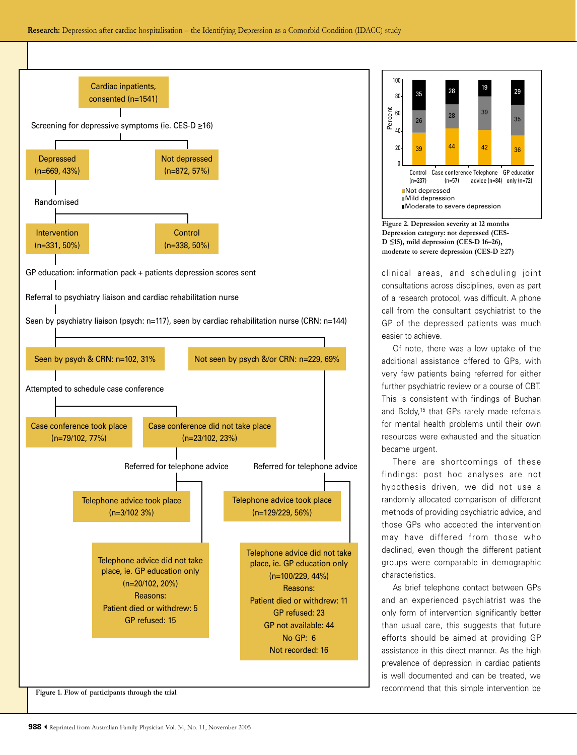





Figure 2. Depression severity at 12 months Depression category: not depressed (CES- $D \leq 15$ , mild depression (CES-D 16-26), moderate to severe depression (CES-D  $\geq$ 27)

clinical areas, and scheduling joint consultations across disciplines, even as part of a research protocol, was difficult. A phone call from the consultant psychiatrist to the GP of the depressed patients was much easier to achieve.

Of note, there was a low uptake of the additional assistance offered to GPs, with very few patients being referred for either further psychiatric review or a course of CBT. This is consistent with findings of Buchan and Boldy,<sup>15</sup> that GPs rarely made referrals for mental health problems until their own resources were exhausted and the situation became urgent.

There are shortcomings of these findings: post hoc analyses are not hypothesis driven, we did not use a randomly allocated comparison of different methods of providing psychiatric advice, and those GPs who accepted the intervention may have differed from those who declined, even though the different patient groups were comparable in demographic characteristics.

As brief telephone contact between GPs and an experienced psychiatrist was the only form of intervention significantly better than usual care, this suggests that future efforts should be aimed at providing GP assistance in this direct manner. As the high prevalence of depression in cardiac patients is well documented and can be treated, we recommend that this simple intervention be